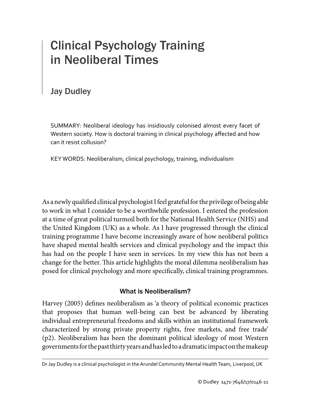# Clinical Psychology Training in Neoliberal Times

# Jay Dudley

SUMMARY: Neoliberal ideology has insidiously colonised almost every facet of Western society. How is doctoral training in clinical psychology affected and how can it resist collusion?

KEY WORDS: Neoliberalism, clinical psychology, training, individualism

As a newly qualified clinical psychologist I feel grateful for the privilege of being able to work in what I consider to be a worthwhile profession. I entered the profession at a time of great political turmoil both for the National Health Service (NHS) and the United Kingdom (UK) as a whole. As I have progressed through the clinical training programme I have become increasingly aware of how neoliberal politics have shaped mental health services and clinical psychology and the impact this has had on the people I have seen in services. In my view this has not been a change for the better. This article highlights the moral dilemma neoliberalism has posed for clinical psychology and more specifically, clinical training programmes.

# What is Neoliberalism?

Harvey (2005) defines neoliberalism as 'a theory of political economic practices that proposes that human well-being can best be advanced by liberating individual entrepreneurial freedoms and skills within an institutional framework characterized by strong private property rights, free markets, and free trade' (p2). Neoliberalism has been the dominant political ideology of most Western governments for the past thirty years and has led to a dramatic impact on the makeup

Dr Jay Dudley is a clinical psychologist in the Arundel Community Mental Health Team, Liverpool, UK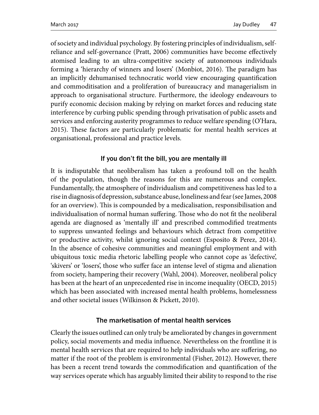of society and individual psychology. By fostering principles of individualism, selfreliance and self-governance (Pratt, 2006) communities have become effectively atomised leading to an ultra-competitive society of autonomous individuals forming a 'hierarchy of winners and losers' (Monbiot, 2016). The paradigm has an implicitly dehumanised technocratic world view encouraging quantification and commoditisation and a proliferation of bureaucracy and managerialism in approach to organisational structure. Furthermore, the ideology endeavours to purify economic decision making by relying on market forces and reducing state interference by curbing public spending through privatisation of public assets and services and enforcing austerity programmes to reduce welfare spending (O'Hara, 2015). These factors are particularly problematic for mental health services at organisational, professional and practice levels.

## If you don't fit the bill, you are mentally ill

It is indisputable that neoliberalism has taken a profound toll on the health of the population, though the reasons for this are numerous and complex. Fundamentally, the atmosphere of individualism and competitiveness has led to a rise in diagnosis of depression, substance abuse, loneliness and fear (see James, 2008 for an overview). This is compounded by a medicalisation, responsibilisation and individualisation of normal human suffering. Those who do not fit the neoliberal agenda are diagnosed as 'mentally ill' and prescribed commodified treatments to suppress unwanted feelings and behaviours which detract from competitive or productive activity, whilst ignoring social context (Esposito & Perez, 2014). In the absence of cohesive communities and meaningful employment and with ubiquitous toxic media rhetoric labelling people who cannot cope as 'defective', 'skivers' or 'losers', those who suffer face an intense level of stigma and alienation from society, hampering their recovery (Wahl, 2004). Moreover, neoliberal policy has been at the heart of an unprecedented rise in income inequality (OECD, 2015) which has been associated with increased mental health problems, homelessness and other societal issues (Wilkinson & Pickett, 2010).

## The marketisation of mental health services

Clearly the issues outlined can only truly be ameliorated by changes in government policy, social movements and media influence. Nevertheless on the frontline it is mental health services that are required to help individuals who are suffering, no matter if the root of the problem is environmental (Fisher, 2012). However, there has been a recent trend towards the commodification and quantification of the way services operate which has arguably limited their ability to respond to the rise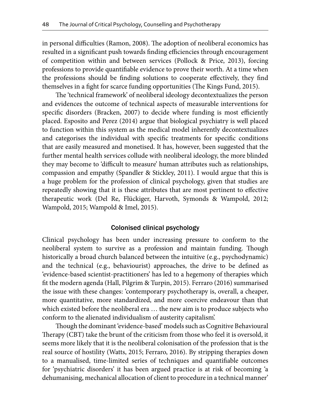in personal difficulties (Ramon, 2008). The adoption of neoliberal economics has resulted in a significant push towards finding efficiencies through encouragement of competition within and between services (Pollock & Price, 2013), forcing professions to provide quantifiable evidence to prove their worth. At a time when the professions should be finding solutions to cooperate effectively, they find themselves in a fight for scarce funding opportunities (The Kings Fund, 2015).

The 'technical framework' of neoliberal ideology decontextualizes the person and evidences the outcome of technical aspects of measurable interventions for specific disorders (Bracken, 2007) to decide where funding is most efficiently placed. Esposito and Perez (2014) argue that biological psychiatry is well placed to function within this system as the medical model inherently decontextualizes and categorises the individual with specific treatments for specific conditions that are easily measured and monetised. It has, however, been suggested that the further mental health services collude with neoliberal ideology, the more blinded they may become to 'difficult to measure' human attributes such as relationships, compassion and empathy (Spandler & Stickley, 2011). I would argue that this is a huge problem for the profession of clinical psychology, given that studies are repeatedly showing that it is these attributes that are most pertinent to effective therapeutic work (Del Re, Flückiger, Harvoth, Symonds & Wampold, 2012; Wampold, 2015; Wampold & Imel, 2015).

#### Colonised clinical psychology

Clinical psychology has been under increasing pressure to conform to the neoliberal system to survive as a profession and maintain funding. Though historically a broad church balanced between the intuitive (e.g., psychodynamic) and the technical (e.g., behaviourist) approaches, the drive to be defined as 'evidence-based scientist-practitioners' has led to a hegemony of therapies which fit the modern agenda (Hall, Pilgrim & Turpin, 2015). Ferraro (2016) summarised the issue with these changes: 'contemporary psychotherapy is, overall, a cheaper, more quantitative, more standardized, and more coercive endeavour than that which existed before the neoliberal era … the new aim is to produce subjects who conform to the alienated individualism of austerity capitalism'.

Though the dominant 'evidence-based' models such as Cognitive Behavioural Therapy (CBT) take the brunt of the criticism from those who feel it is oversold, it seems more likely that it is the neoliberal colonisation of the profession that is the real source of hostility (Watts, 2015; Ferraro, 2016). By stripping therapies down to a manualised, time-limited series of techniques and quantifiable outcomes for 'psychiatric disorders' it has been argued practice is at risk of becoming 'a dehumanising, mechanical allocation of client to procedure in a technical manner'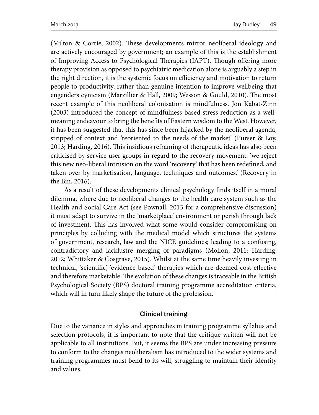(Milton & Corrie, 2002). These developments mirror neoliberal ideology and are actively encouraged by government; an example of this is the establishment of Improving Access to Psychological Therapies (IAPT). Though offering more therapy provision as opposed to psychiatric medication alone is arguably a step in the right direction, it is the systemic focus on efficiency and motivation to return people to productivity, rather than genuine intention to improve wellbeing that engenders cynicism (Marzillier & Hall, 2009; Wesson & Gould, 2010). The most recent example of this neoliberal colonisation is mindfulness. Jon Kabat-Zinn (2003) introduced the concept of mindfulness-based stress reduction as a wellmeaning endeavour to bring the benefits of Eastern wisdom to the West. However, it has been suggested that this has since been hijacked by the neoliberal agenda, stripped of context and 'reoriented to the needs of the market' (Purser & Loy, 2013; Harding, 2016). This insidious reframing of therapeutic ideas has also been criticised by service user groups in regard to the recovery movement: 'we reject this new neo-liberal intrusion on the word 'recovery' that has been redefined, and taken over by marketisation, language, techniques and outcomes.' (Recovery in the Bin, 2016).

As a result of these developments clinical psychology finds itself in a moral dilemma, where due to neoliberal changes to the health care system such as the Health and Social Care Act (see Pownall, 2013 for a comprehensive discussion) it must adapt to survive in the 'marketplace' environment or perish through lack of investment. This has involved what some would consider compromising on principles by colluding with the medical model which structures the systems of government, research, law and the NICE guidelines; leading to a confusing, contradictory and lacklustre merging of paradigms (Mollon, 2011; Harding, 2012; Whittaker & Cosgrave, 2015). Whilst at the same time heavily investing in technical, 'scientific', 'evidence-based' therapies which are deemed cost-effective and therefore marketable. The evolution of these changes is traceable in the British Psychological Society (BPS) doctoral training programme accreditation criteria, which will in turn likely shape the future of the profession.

#### Clinical training

Due to the variance in styles and approaches in training programme syllabus and selection protocols, it is important to note that the critique written will not be applicable to all institutions. But, it seems the BPS are under increasing pressure to conform to the changes neoliberalism has introduced to the wider systems and training programmes must bend to its will, struggling to maintain their identity and values.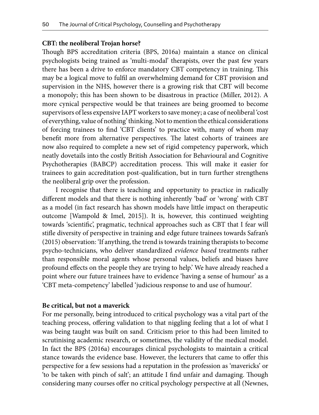#### **CBT: the neoliberal Trojan horse?**

Though BPS accreditation criteria (BPS, 2016a) maintain a stance on clinical psychologists being trained as 'multi-modal' therapists, over the past few years there has been a drive to enforce mandatory CBT competency in training. This may be a logical move to fulfil an overwhelming demand for CBT provision and supervision in the NHS, however there is a growing risk that CBT will become a monopoly; this has been shown to be disastrous in practice (Miller, 2012). A more cynical perspective would be that trainees are being groomed to become supervisors of less expensive IAPT workers to save money; a case of neoliberal 'cost of everything, value of nothing' thinking. Not to mention the ethical considerations of forcing trainees to find 'CBT clients' to practice with, many of whom may benefit more from alternative perspectives. The latest cohorts of trainees are now also required to complete a new set of rigid competency paperwork, which neatly dovetails into the costly British Association for Behavioural and Cognitive Psychotherapies (BABCP) accreditation process. This will make it easier for trainees to gain accreditation post-qualification, but in turn further strengthens the neoliberal grip over the profession.

I recognise that there is teaching and opportunity to practice in radically different models and that there is nothing inherently 'bad' or 'wrong' with CBT as a model (in fact research has shown models have little impact on therapeutic outcome [Wampold & Imel, 2015]). It is, however, this continued weighting towards 'scientific', pragmatic, technical approaches such as CBT that I fear will stifle diversity of perspective in training and edge future trainees towards Safran's (2015) observation: 'If anything, the trend is towards training therapists to become psycho-technicians, who deliver standardized *evidence based* treatments rather than responsible moral agents whose personal values, beliefs and biases have profound effects on the people they are trying to help.' We have already reached a point where our future trainees have to evidence 'having a sense of humour' as a 'CBT meta-competency' labelled 'judicious response to and use of humour'.

#### **Be critical, but not a maverick**

For me personally, being introduced to critical psychology was a vital part of the teaching process, offering validation to that niggling feeling that a lot of what I was being taught was built on sand. Criticism prior to this had been limited to scrutinising academic research, or sometimes, the validity of the medical model. In fact the BPS (2016a) encourages clinical psychologists to maintain a critical stance towards the evidence base. However, the lecturers that came to offer this perspective for a few sessions had a reputation in the profession as 'mavericks' or 'to be taken with pinch of salt'; an attitude I find unfair and damaging. Though considering many courses offer no critical psychology perspective at all (Newnes,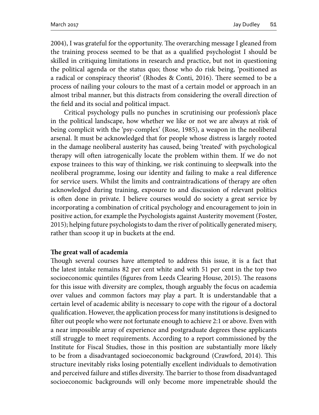2004), I was grateful for the opportunity. The overarching message I gleaned from the training process seemed to be that as a qualified psychologist I should be skilled in critiquing limitations in research and practice, but not in questioning the political agenda or the status quo; those who do risk being, 'positioned as a radical or conspiracy theorist' (Rhodes & Conti, 2016). There seemed to be a process of nailing your colours to the mast of a certain model or approach in an almost tribal manner, but this distracts from considering the overall direction of the field and its social and political impact.

Critical psychology pulls no punches in scrutinising our profession's place in the political landscape, how whether we like or not we are always at risk of being complicit with the 'psy-complex' (Rose, 1985), a weapon in the neoliberal arsenal. It must be acknowledged that for people whose distress is largely rooted in the damage neoliberal austerity has caused, being 'treated' with psychological therapy will often iatrogenically locate the problem within them. If we do not expose trainees to this way of thinking, we risk continuing to sleepwalk into the neoliberal programme, losing our identity and failing to make a real difference for service users. Whilst the limits and contraintradications of therapy are often acknowledged during training, exposure to and discussion of relevant politics is often done in private. I believe courses would do society a great service by incorporating a combination of critical psychology and encouragement to join in positive action, for example the Psychologists against Austerity movement (Foster, 2015); helping future psychologists to dam the river of politically generated misery, rather than scoop it up in buckets at the end.

#### **The great wall of academia**

Though several courses have attempted to address this issue, it is a fact that the latest intake remains 82 per cent white and with 51 per cent in the top two socioeconomic quintiles (figures from Leeds Clearing House, 2015). The reasons for this issue with diversity are complex, though arguably the focus on academia over values and common factors may play a part. It is understandable that a certain level of academic ability is necessary to cope with the rigour of a doctoral qualification. However, the application process for many institutions is designed to filter out people who were not fortunate enough to achieve 2:1 or above. Even with a near impossible array of experience and postgraduate degrees these applicants still struggle to meet requirements. According to a report commissioned by the Institute for Fiscal Studies, those in this position are substantially more likely to be from a disadvantaged socioeconomic background (Crawford, 2014). This structure inevitably risks losing potentially excellent individuals to demotivation and perceived failure and stifles diversity. The barrier to those from disadvantaged socioeconomic backgrounds will only become more impenetrable should the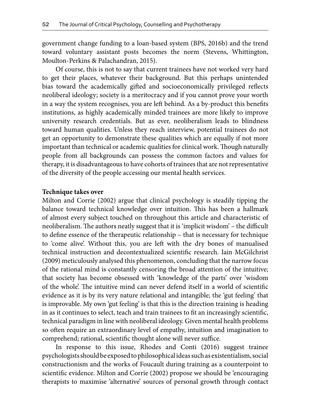government change funding to a loan-based system (BPS, 2016b) and the trend toward voluntary assistant posts becomes the norm (Stevens, Whittington, Moulton-Perkins & Palachandran, 2015).

Of course, this is not to say that current trainees have not worked very hard to get their places, whatever their background. But this perhaps unintended bias toward the academically gifted and socioeconomically privileged reflects neoliberal ideology; society is a meritocracy and if you cannot prove your worth in a way the system recognises, you are left behind. As a by-product this benefits institutions, as highly academically minded trainees are more likely to improve university research credentials. But as ever, neoliberalism leads to blindness toward human qualities. Unless they reach interview, potential trainees do not get an opportunity to demonstrate these qualities which are equally if not more important than technical or academic qualities for clinical work. Though naturally people from all backgrounds can possess the common factors and values for therapy, it is disadvantageous to have cohorts of trainees that are not representative of the diversity of the people accessing our mental health services.

#### **Technique takes over**

Milton and Corrie (2002) argue that clinical psychology is steadily tipping the balance toward technical knowledge over intuition. This has been a hallmark of almost every subject touched on throughout this article and characteristic of neoliberalism. The authors neatly suggest that it is 'implicit wisdom' – the difficult to define essence of the therapeutic relationship – that is necessary for technique to 'come alive'. Without this, you are left with the dry bones of manualised technical instruction and decontextualized scientific research. Iain McGilchrist (2009) meticulously analysed this phenomenon, concluding that the narrow focus of the rational mind is constantly censoring the broad attention of the intuitive; that society has become obsessed with 'knowledge of the parts' over 'wisdom of the whole'. The intuitive mind can never defend itself in a world of scientific evidence as it is by its very nature relational and intangible; the 'gut feeling' that is improvable. My own 'gut feeling' is that this is the direction training is heading in as it continues to select, teach and train trainees to fit an increasingly scientific, technical paradigm in line with neoliberal ideology. Given mental health problems so often require an extraordinary level of empathy, intuition and imagination to comprehend; rational, scientific thought alone will never suffice.

In response to this issue, Rhodes and Conti (2016) suggest trainee psychologists should be exposed to philosophical ideas such as existentialism, social constructionism and the works of Foucault during training as a counterpoint to scientific evidence. Milton and Corrie (2002) propose we should be 'encouraging therapists to maximise 'alternative' sources of personal growth through contact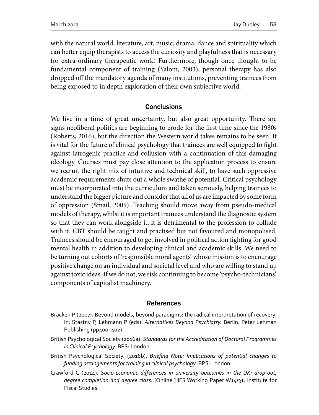with the natural world, literature, art, music, drama, dance and spirituality which can better equip therapists to access the curiosity and playfulness that is necessary for extra-ordinary therapeutic work.' Furthermore, though once thought to be fundamental component of training (Yalom, 2003), personal therapy has also dropped off the mandatory agenda of many institutions, preventing trainees from being exposed to in depth exploration of their own subjective world.

#### **Conclusions**

We live in a time of great uncertainty, but also great opportunity. There are signs neoliberal politics are beginning to erode for the first time since the 1980s (Roberts, 2016), but the direction the Western world takes remains to be seen. It is vital for the future of clinical psychology that trainees are well equipped to fight against iatrogenic practice and collusion with a continuation of this damaging ideology. Courses must pay close attention to the application process to ensure we recruit the right mix of intuitive and technical skill, to have such oppressive academic requirements shuts out a whole swathe of potential. Critical psychology must be incorporated into the curriculum and taken seriously, helping trainees to understand the bigger picture and consider that all of us are impacted by some form of oppression (Smail, 2005). Teaching should move away from pseudo-medical models of therapy, whilst it is important trainees understand the diagnostic system so that they can work alongside it, it is detrimental to the profession to collude with it. CBT should be taught and practised but not favoured and monopolised. Trainees should be encouraged to get involved in political action fighting for good mental health in addition to developing clinical and academic skills. We need to be turning out cohorts of 'responsible moral agents' whose mission is to encourage positive change on an individual and societal level and who are willing to stand up against toxic ideas. If we do not, we risk continuing to become 'psycho-technicians', components of capitalist machinery.

#### References

- Bracken P (2007). Beyond models, beyond paradigms: the radical interpretation of recovery. In: Stastny P, Lehmann P (eds). *Alternatives Beyond Psychiatry.* Berlin: Peter Lehman Publishing (pp400-402).
- British Psychological Society (2016a). *Standards for the Accreditation of Doctoral Programmes in Clinical Psychology.* BPS: London.
- British Psychological Society. (2016b). *Briefing Note: Implications of potential changes to funding arrangements for training in clinical psychology.* BPS: London.
- Crawford C (2014). *Socio-economic differences in university outcomes in the UK: drop-out, degree completion and degree class.* [Online.] IFS Working Paper W14/31, Institute for Fiscal Studies.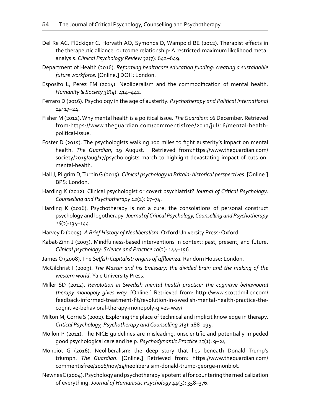- Del Re AC, Flückiger C, Horvath AO, Symonds D, Wampold BE (2012). Therapist effects in the therapeutic alliance–outcome relationship: A restricted-maximum likelihood metaanalysis. *Clinical Psychology Review 32*(7): 642–649.
- Department of Health (2016). *Reforming healthcare education funding: creating a sustainable future workforce.* [Online.] DOH: London.
- Esposito L, Perez FM (2014). Neoliberalism and the commodification of mental health. *Humanity & Society 38*(4): 414–442.
- Ferraro D (2016). Psychology in the age of austerity. *Psychotherapy and Political International 14:* 17–24.
- Fisher M (2012). Why mental health is a political issue. *The Guardian;* 16 December. Retrieved from:https://www.theguardian.com/commentisfree/2012/jul/16/mental-healthpolitical-issue.
- Foster D (2015). The psychologists walking 100 miles to fight austerity's impact on mental health. *The Guardian;* 19 August.Retrieved from:https://www.theguardian.com/ society/2015/aug/17/psychologists-march-to-highlight-devastating-impact-of-cuts-onmental-health.
- Hall J, Pilgrim D, Turpin G (2015). *Clinical psychology in Britain: historical perspectives.* [Online.] BPS: London.
- Harding K (2012). Clinical psychologist or covert psychiatrist? *Journal of Critical Psychology, Counselling and Psychotherapy 12*(2)*:* 67–74.
- Harding K (2016). Psychotherapy is not a cure: the consolations of personal construct psychology and logotherapy. *Journal of Critical Psychology, Counselling and Psychotherapy 16*(2):134–144.
- Harvey D (2005). *A Brief History of Neoliberalism.* Oxford University Press: Oxford.
- Kabat‐Zinn J (2003). Mindfulness‐based interventions in context: past, present, and future. *Clinical psychology: Science and Practice 10*(2): 144–156.
- James O (2008). The *Selfish Capitalist: origins of affluenza.* Random House: London.
- McGilchrist I (2009). *The Master and his Emissary: the divided brain and the making of the western world.* Yale University Press.
- Miller SD (2012). *Revolution in Swedish mental health practice: the cognitive behavioural therapy monopoly gives way.* [Online.] Retrieved from: http://www.scottdmiller.com/ feedback-informed-treatment-fit/revolution-in-swedish-mental-health-practice-thecognitive-behavioral-therapy-monopoly-gives-way/
- Milton M, Corrie S (2002). Exploring the place of technical and implicit knowledge in therapy. *Critical Psychology, Psychotherapy and Counselling 2*(3): 188–195.
- Mollon P (2011). The NICE guidelines are misleading, unscientific and potentially impeded good psychological care and help. *Psychodynamic Practice 15*(1): 9–24.
- Monbiot G (2016). Neoliberalism: the deep story that lies beneath Donald Trump's triumph. *The Guardian*. [Online.] Retrieved from: https://www.theguardian.com/ commentisfree/2016/nov/14/neoliberalsim-donald-trump-george-monbiot.
- Newnes C (2004). Psychology and psychotherapy's potential for countering the medicalization of everything. *Journal of Humanistic Psychology 44*(3): 358–376.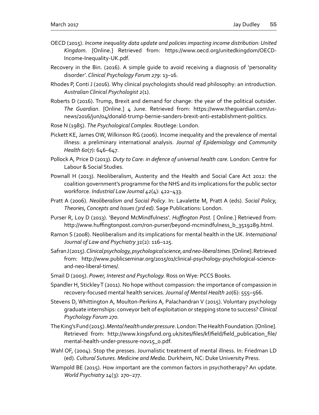- OECD (2015). *Income inequality data update and policies impacting income distribution: United Kingdom*. [Online.] Retrieved from: https://www.oecd.org/unitedkingdom/OECD-Income-Inequality-UK.pdf.
- Recovery in the Bin. (2016). A simple guide to avoid receiving a diagnosis of 'personality disorder'. *Clinical Psychology Forum 279*: 13–16.
- Rhodes P, Conti J (2016). Why clinical psychologists should read philosophy: an introduction. *Australian Clinical Psychologist 2*(1).
- Roberts D (2016). Trump, Brexit and demand for change: the year of the political outsider*. The Guardian*. [Online.] 4 June. Retrieved from: https://www.theguardian.com/usnews/2016/jun/04/donald-trump-bernie-sanders-brexit-anti-establishment-politics.
- Rose N (1985). *The Psychological Complex.* Routlege: London.
- Pickett KE, James OW, Wilkinson RG (2006). Income inequality and the prevalence of mental illness: a preliminary international analysis. *Journal of Epidemiology and Community Health 60*(7): 646–647.
- Pollock A, Price D (2013). *Duty to Care: in defence of universal health care.* London: Centre for Labour & Social Studies.
- Pownall H (2013). Neoliberalism, Austerity and the Health and Social Care Act 2012: the coalition government's programme for the NHS and its implications for the public sector workforce. *Industrial Law Journal 42*(4): 422–433.
- Pratt A (2006). *Neoliberalism and Social Policy*. In: Lavalette M, Pratt A (eds). *Social Policy, Theories, Concepts and Issues (3rd ed).* Sage Publications: London.
- Purser R, Loy D (2013). 'Beyond McMindfulness'. *Huffington Post.* [ Online.] Retrieved from: http://www.huffingtonpost.com/ron-purser/beyond-mcmindfulness\_b\_3519289.html.
- Ramon S (2008). Neoliberalism and its implications for mental health in the UK. *International Journal of Law and Psychiatry 31*(2): 116–125.
- Safran J (2015). *Clinical psychology, psychological science, and neo-liberal times*. [Online]. Retrieved from: http://www.publicseminar.org/2015/01/clinical-psychology-psychological-scienceand-neo-liberal-times/.
- Smail D (2005). *Power, Interest and Psychology.* Ross on Wye: PCCS Books.
- Spandler H, Stickley T (2011). No hope without compassion: the importance of compassion in recovery-focused mental health services. *Journal of Mental Health 20*(6): 555–566.
- Stevens D, Whittington A, Moulton-Perkins A, Palachandran V (2015). Voluntary psychology graduate internships: conveyor belt of exploitation or stepping stone to success? *Clinical Psychology Forum 270.*
- The King's Fund (2015). *Mental health under pressure*. London: The Health Foundation. [Online]. Retrieved from: http://www.kingsfund.org.uk/sites/files/kf/field/field\_publication\_file/ mental-health-under-pressure-nov15\_0.pdf.
- Wahl OF, (2004). Stop the presses. Journalistic treatment of mental illness. In: Friedman LD (ed). *Cultural Sutures. Medicine and Media*. Durkheim, NC: Duke University Press.
- Wampold BE (2015). How important are the common factors in psychotherapy? An update. *World Psychiatry 14*(3): 270–277.